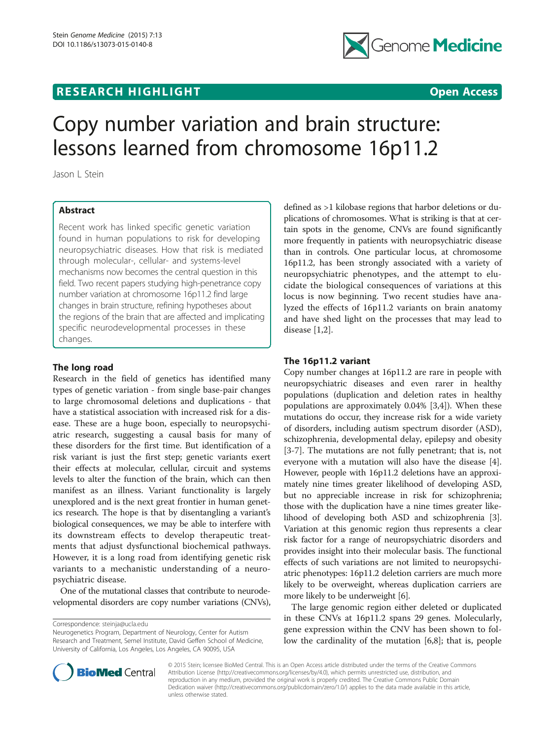# **RESEARCH HIGHLIGHT CONSUMING THE OPEN ACCESS**



# Copy number variation and brain structure: lessons learned from chromosome 16p11.2

Jason L Stein

# Abstract

Recent work has linked specific genetic variation found in human populations to risk for developing neuropsychiatric diseases. How that risk is mediated through molecular-, cellular- and systems-level mechanisms now becomes the central question in this field. Two recent papers studying high-penetrance copy number variation at chromosome 16p11.2 find large changes in brain structure, refining hypotheses about the regions of the brain that are affected and implicating specific neurodevelopmental processes in these changes.

# The long road

Research in the field of genetics has identified many types of genetic variation - from single base-pair changes to large chromosomal deletions and duplications - that have a statistical association with increased risk for a disease. These are a huge boon, especially to neuropsychiatric research, suggesting a causal basis for many of these disorders for the first time. But identification of a risk variant is just the first step; genetic variants exert their effects at molecular, cellular, circuit and systems levels to alter the function of the brain, which can then manifest as an illness. Variant functionality is largely unexplored and is the next great frontier in human genetics research. The hope is that by disentangling a variant's biological consequences, we may be able to interfere with its downstream effects to develop therapeutic treatments that adjust dysfunctional biochemical pathways. However, it is a long road from identifying genetic risk variants to a mechanistic understanding of a neuropsychiatric disease.

One of the mutational classes that contribute to neurodevelopmental disorders are copy number variations (CNVs), defined as >1 kilobase regions that harbor deletions or duplications of chromosomes. What is striking is that at certain spots in the genome, CNVs are found significantly more frequently in patients with neuropsychiatric disease than in controls. One particular locus, at chromosome 16p11.2, has been strongly associated with a variety of neuropsychiatric phenotypes, and the attempt to elucidate the biological consequences of variations at this locus is now beginning. Two recent studies have analyzed the effects of 16p11.2 variants on brain anatomy and have shed light on the processes that may lead to disease [[1,2](#page-2-0)].

# The 16p11.2 variant

Copy number changes at 16p11.2 are rare in people with neuropsychiatric diseases and even rarer in healthy populations (duplication and deletion rates in healthy populations are approximately 0.04% [[3,4\]](#page-2-0)). When these mutations do occur, they increase risk for a wide variety of disorders, including autism spectrum disorder (ASD), schizophrenia, developmental delay, epilepsy and obesity [[3-7](#page-2-0)]. The mutations are not fully penetrant; that is, not everyone with a mutation will also have the disease [\[4](#page-2-0)]. However, people with 16p11.2 deletions have an approximately nine times greater likelihood of developing ASD, but no appreciable increase in risk for schizophrenia; those with the duplication have a nine times greater likelihood of developing both ASD and schizophrenia [[3](#page-2-0)]. Variation at this genomic region thus represents a clear risk factor for a range of neuropsychiatric disorders and provides insight into their molecular basis. The functional effects of such variations are not limited to neuropsychiatric phenotypes: 16p11.2 deletion carriers are much more likely to be overweight, whereas duplication carriers are more likely to be underweight [\[6](#page-2-0)].

The large genomic region either deleted or duplicated in these CNVs at 16p11.2 spans 29 genes. Molecularly, gene expression within the CNV has been shown to follow the cardinality of the mutation [[6](#page-2-0),[8](#page-2-0)]; that is, people



© 2015 Stein; licensee BioMed Central. This is an Open Access article distributed under the terms of the Creative Commons Attribution License (<http://creativecommons.org/licenses/by/4.0>), which permits unrestricted use, distribution, and reproduction in any medium, provided the original work is properly credited. The Creative Commons Public Domain Dedication waiver [\(http://creativecommons.org/publicdomain/zero/1.0/](http://creativecommons.org/publicdomain/zero/1.0/)) applies to the data made available in this article, unless otherwise stated.

Correspondence: [steinja@ucla.edu](mailto:steinja@ucla.edu)

Neurogenetics Program, Department of Neurology, Center for Autism Research and Treatment, Semel Institute, David Geffen School of Medicine, University of California, Los Angeles, Los Angeles, CA 90095, USA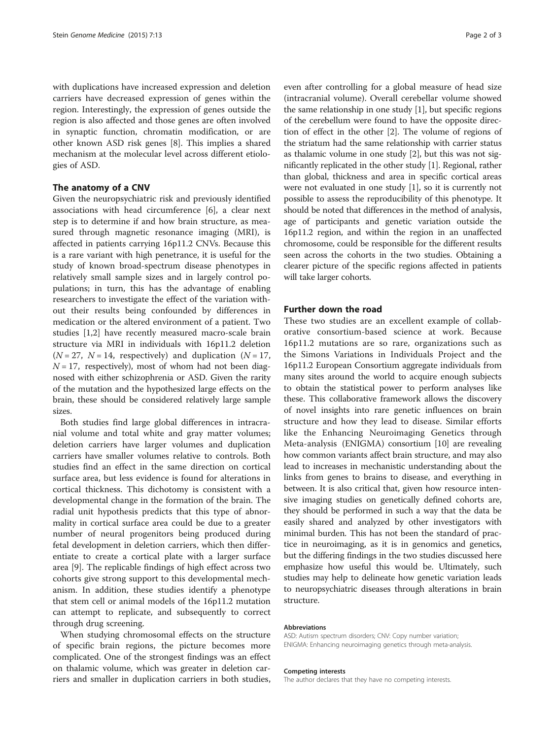with duplications have increased expression and deletion carriers have decreased expression of genes within the region. Interestingly, the expression of genes outside the region is also affected and those genes are often involved in synaptic function, chromatin modification, or are other known ASD risk genes [[8\]](#page-2-0). This implies a shared mechanism at the molecular level across different etiologies of ASD.

## The anatomy of a CNV

Given the neuropsychiatric risk and previously identified associations with head circumference [[6\]](#page-2-0), a clear next step is to determine if and how brain structure, as measured through magnetic resonance imaging (MRI), is affected in patients carrying 16p11.2 CNVs. Because this is a rare variant with high penetrance, it is useful for the study of known broad-spectrum disease phenotypes in relatively small sample sizes and in largely control populations; in turn, this has the advantage of enabling researchers to investigate the effect of the variation without their results being confounded by differences in medication or the altered environment of a patient. Two studies [[1](#page-2-0),[2](#page-2-0)] have recently measured macro-scale brain structure via MRI in individuals with 16p11.2 deletion  $(N = 27, N = 14, respectively)$  and duplication  $(N = 17,$  $N = 17$ , respectively), most of whom had not been diagnosed with either schizophrenia or ASD. Given the rarity of the mutation and the hypothesized large effects on the brain, these should be considered relatively large sample sizes.

Both studies find large global differences in intracranial volume and total white and gray matter volumes; deletion carriers have larger volumes and duplication carriers have smaller volumes relative to controls. Both studies find an effect in the same direction on cortical surface area, but less evidence is found for alterations in cortical thickness. This dichotomy is consistent with a developmental change in the formation of the brain. The radial unit hypothesis predicts that this type of abnormality in cortical surface area could be due to a greater number of neural progenitors being produced during fetal development in deletion carriers, which then differentiate to create a cortical plate with a larger surface area [[9\]](#page-2-0). The replicable findings of high effect across two cohorts give strong support to this developmental mechanism. In addition, these studies identify a phenotype that stem cell or animal models of the 16p11.2 mutation can attempt to replicate, and subsequently to correct through drug screening.

When studying chromosomal effects on the structure of specific brain regions, the picture becomes more complicated. One of the strongest findings was an effect on thalamic volume, which was greater in deletion carriers and smaller in duplication carriers in both studies,

even after controlling for a global measure of head size (intracranial volume). Overall cerebellar volume showed the same relationship in one study [\[1](#page-2-0)], but specific regions of the cerebellum were found to have the opposite direction of effect in the other [[2](#page-2-0)]. The volume of regions of the striatum had the same relationship with carrier status as thalamic volume in one study [\[2](#page-2-0)], but this was not significantly replicated in the other study [[1](#page-2-0)]. Regional, rather than global, thickness and area in specific cortical areas were not evaluated in one study [[1\]](#page-2-0), so it is currently not possible to assess the reproducibility of this phenotype. It should be noted that differences in the method of analysis, age of participants and genetic variation outside the 16p11.2 region, and within the region in an unaffected chromosome, could be responsible for the different results seen across the cohorts in the two studies. Obtaining a clearer picture of the specific regions affected in patients will take larger cohorts.

### Further down the road

These two studies are an excellent example of collaborative consortium-based science at work. Because 16p11.2 mutations are so rare, organizations such as the Simons Variations in Individuals Project and the 16p11.2 European Consortium aggregate individuals from many sites around the world to acquire enough subjects to obtain the statistical power to perform analyses like these. This collaborative framework allows the discovery of novel insights into rare genetic influences on brain structure and how they lead to disease. Similar efforts like the Enhancing Neuroimaging Genetics through Meta-analysis (ENIGMA) consortium [[10](#page-2-0)] are revealing how common variants affect brain structure, and may also lead to increases in mechanistic understanding about the links from genes to brains to disease, and everything in between. It is also critical that, given how resource intensive imaging studies on genetically defined cohorts are, they should be performed in such a way that the data be easily shared and analyzed by other investigators with minimal burden. This has not been the standard of practice in neuroimaging, as it is in genomics and genetics, but the differing findings in the two studies discussed here emphasize how useful this would be. Ultimately, such studies may help to delineate how genetic variation leads to neuropsychiatric diseases through alterations in brain structure.

#### Abbreviations

ASD: Autism spectrum disorders; CNV: Copy number variation; ENIGMA: Enhancing neuroimaging genetics through meta-analysis.

#### Competing interests

The author declares that they have no competing interests.